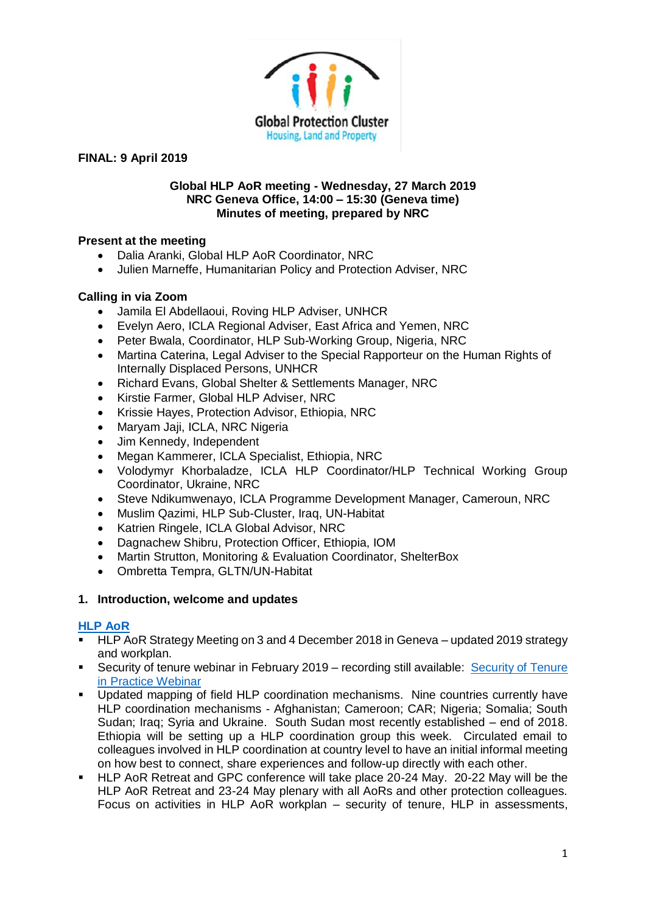

#### **Global HLP AoR meeting - Wednesday, 27 March 2019 NRC Geneva Office, 14:00 – 15:30 (Geneva time) Minutes of meeting, prepared by NRC**

# **Present at the meeting**

- Dalia Aranki, Global HLP AoR Coordinator, NRC
- Julien Marneffe, Humanitarian Policy and Protection Adviser, NRC

# **Calling in via Zoom**

- Jamila El Abdellaoui, Roving HLP Adviser, UNHCR
- Evelyn Aero, ICLA Regional Adviser, East Africa and Yemen, NRC
- Peter Bwala, Coordinator, HLP Sub-Working Group, Nigeria, NRC
- Martina Caterina, Legal Adviser to the Special Rapporteur on the Human Rights of Internally Displaced Persons, UNHCR
- Richard Evans, Global Shelter & Settlements Manager, NRC
- Kirstie Farmer, Global HLP Adviser, NRC
- Krissie Hayes, Protection Advisor, Ethiopia, NRC
- Maryam Jaji, ICLA, NRC Nigeria
- Jim Kennedy, Independent
- Megan Kammerer, ICLA Specialist, Ethiopia, NRC
- Volodymyr Khorbaladze, ICLA HLP Coordinator/HLP Technical Working Group Coordinator, Ukraine, NRC
- Steve Ndikumwenayo, ICLA Programme Development Manager, Cameroun, NRC
- Muslim Qazimi, HLP Sub-Cluster, Iraq, UN-Habitat
- Katrien Ringele, ICLA Global Advisor, NRC
- Dagnachew Shibru, Protection Officer, Ethiopia, IOM
- Martin Strutton, Monitoring & Evaluation Coordinator, ShelterBox
- Ombretta Tempra, GLTN/UN-Habitat

### **1. Introduction, welcome and updates**

### **[HLP AoR](http://www.globalprotectioncluster.org/themes/housing-land-and-property/hlp-area-of-responsibility/)**

- HLP AoR Strategy Meeting on 3 and 4 December 2018 in Geneva updated 2019 strategy and workplan.
- Security of tenure webinar in February 2019 recording still available: Security of Tenure [in Practice Webinar](https://zoom.us/recording/play/p8mLNaoxFzcZtqrOml7yFhMNiN3F0rpx3aaVsTL5t5vufFYxt6Yps3nZ55OdOfrY?continueMode=true)
- Updated mapping of field HLP coordination mechanisms. Nine countries currently have HLP coordination mechanisms - Afghanistan; Cameroon; CAR; Nigeria; Somalia; South Sudan; Iraq; Syria and Ukraine. South Sudan most recently established – end of 2018. Ethiopia will be setting up a HLP coordination group this week. Circulated email to colleagues involved in HLP coordination at country level to have an initial informal meeting on how best to connect, share experiences and follow-up directly with each other.
- HLP AoR Retreat and GPC conference will take place 20-24 May, 20-22 May will be the HLP AoR Retreat and 23-24 May plenary with all AoRs and other protection colleagues. Focus on activities in HLP AoR workplan – security of tenure, HLP in assessments,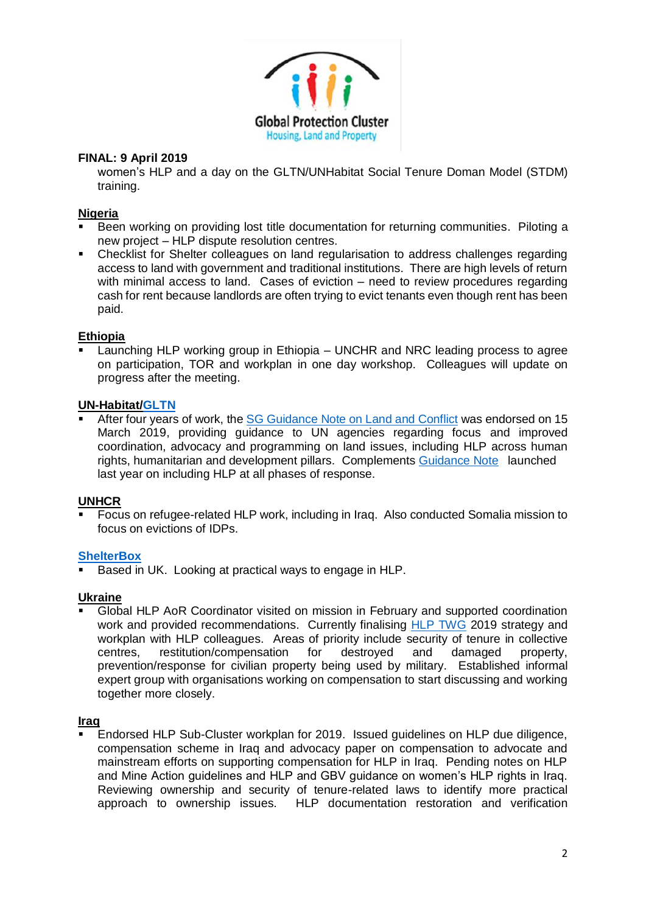

women's HLP and a day on the GLTN/UNHabitat Social Tenure Doman Model (STDM) training.

### **Nigeria**

- Been working on providing lost title documentation for returning communities. Piloting a new project – HLP dispute resolution centres.
- Checklist for Shelter colleagues on land regularisation to address challenges regarding access to land with government and traditional institutions. There are high levels of return with minimal access to land. Cases of eviction – need to review procedures regarding cash for rent because landlords are often trying to evict tenants even though rent has been paid.

# **Ethiopia**

 $\overline{\text{Lamching HLP}}$  working group in Ethiopia – UNCHR and NRC leading process to agree on participation, TOR and workplan in one day workshop. Colleagues will update on progress after the meeting.

### **UN-Habitat[/GLTN](https://gltn.net/)**

After four years of work, the [SG Guidance Note on Land and Conflict](https://gltn.net/download/the-united-nations-and-land-and-conflict-march-2019/) was endorsed on 15 March 2019, providing guidance to UN agencies regarding focus and improved coordination, advocacy and programming on land issues, including HLP across human rights, humanitarian and development pillars. Complements [Guidance Note](https://publications.iom.int/books/guidance-note-integrating-housing-land-and-property-issues-key-humanitarian-transitional-and) launched last year on including HLP at all phases of response.

### **UNHCR**

▪ Focus on refugee-related HLP work, including in Iraq. Also conducted Somalia mission to focus on evictions of IDPs.

### **[ShelterBox](https://www.shelterbox.org/?gclid=Cj0KCQjws5HlBRDIARIsAOomqA0AXwuW7YyQnieNlMZr1lDID21hbjvXkgMIT2NOToWTKlpFNkcOnC8aAoRFEALw_wcB)**

Based in UK. Looking at practical ways to engage in HLP.

### **Ukraine**

Global HLP AoR Coordinator visited on mission in February and supported coordination work and provided recommendations. Currently finalising [HLP TWG](https://www.humanitarianresponse.info/en/operations/ukraine/housing-land-and-property-working-group-1) 2019 strategy and workplan with HLP colleagues. Areas of priority include security of tenure in collective centres, restitution/compensation for destroyed and damaged property, prevention/response for civilian property being used by military. Established informal expert group with organisations working on compensation to start discussing and working together more closely.

#### **Iraq**

**Endorsed HLP Sub-Cluster workplan for 2019. Issued quidelines on HLP due diligence,** compensation scheme in Iraq and advocacy paper on compensation to advocate and mainstream efforts on supporting compensation for HLP in Iraq. Pending notes on HLP and Mine Action guidelines and HLP and GBV guidance on women's HLP rights in Iraq. Reviewing ownership and security of tenure-related laws to identify more practical approach to ownership issues. HLP documentation restoration and verification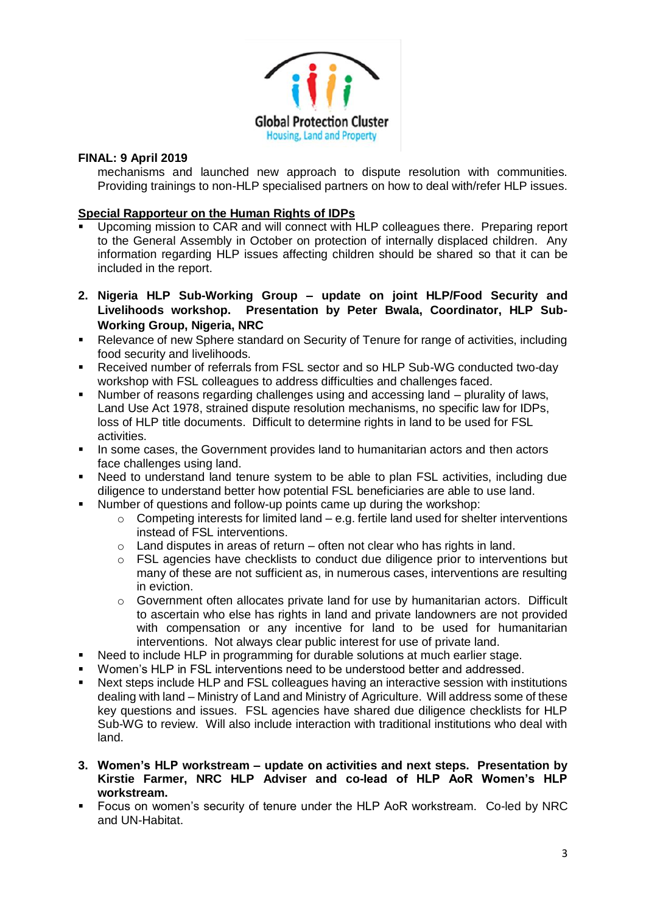

mechanisms and launched new approach to dispute resolution with communities. Providing trainings to non-HLP specialised partners on how to deal with/refer HLP issues.

### **Special Rapporteur on the Human Rights of IDPs**

- Upcoming mission to CAR and will connect with HLP colleagues there. Preparing report to the General Assembly in October on protection of internally displaced children. Any information regarding HLP issues affecting children should be shared so that it can be included in the report.
- **2. Nigeria HLP Sub-Working Group – update on joint HLP/Food Security and Livelihoods workshop. Presentation by Peter Bwala, Coordinator, HLP Sub-Working Group, Nigeria, NRC**
- Relevance of new Sphere standard on Security of Tenure for range of activities, including food security and livelihoods.
- Received number of referrals from FSL sector and so HLP Sub-WG conducted two-day workshop with FSL colleagues to address difficulties and challenges faced.
- Number of reasons regarding challenges using and accessing land plurality of laws, Land Use Act 1978, strained dispute resolution mechanisms, no specific law for IDPs, loss of HLP title documents. Difficult to determine rights in land to be used for FSL activities.
- In some cases, the Government provides land to humanitarian actors and then actors face challenges using land.
- Need to understand land tenure system to be able to plan FSL activities, including due diligence to understand better how potential FSL beneficiaries are able to use land.
- Number of questions and follow-up points came up during the workshop:
	- $\circ$  Competing interests for limited land e.g. fertile land used for shelter interventions instead of FSL interventions.
	- $\circ$  Land disputes in areas of return often not clear who has rights in land.
	- $\circ$  FSL agencies have checklists to conduct due diligence prior to interventions but many of these are not sufficient as, in numerous cases, interventions are resulting in eviction.
	- o Government often allocates private land for use by humanitarian actors. Difficult to ascertain who else has rights in land and private landowners are not provided with compensation or any incentive for land to be used for humanitarian interventions. Not always clear public interest for use of private land.
- Need to include HLP in programming for durable solutions at much earlier stage.
- Women's HLP in FSL interventions need to be understood better and addressed.
- Next steps include HLP and FSL colleagues having an interactive session with institutions dealing with land – Ministry of Land and Ministry of Agriculture. Will address some of these key questions and issues. FSL agencies have shared due diligence checklists for HLP Sub-WG to review. Will also include interaction with traditional institutions who deal with land.
- **3. Women's HLP workstream – update on activities and next steps. Presentation by Kirstie Farmer, NRC HLP Adviser and co-lead of HLP AoR Women's HLP workstream.**
- Focus on women's security of tenure under the HLP AoR workstream. Co-led by NRC and UN-Habitat.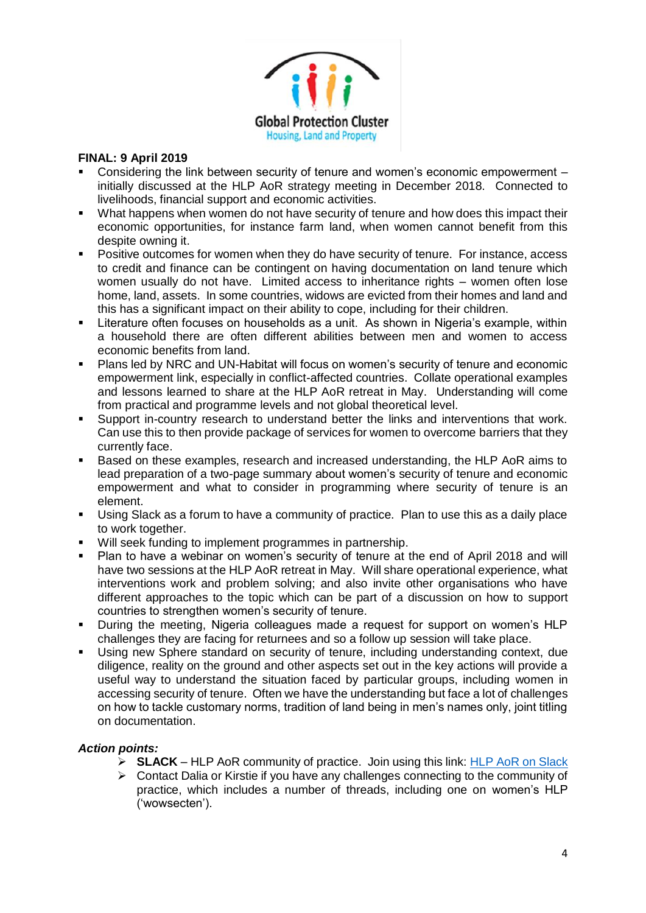

- Considering the link between security of tenure and women's economic empowerment initially discussed at the HLP AoR strategy meeting in December 2018. Connected to livelihoods, financial support and economic activities.
- What happens when women do not have security of tenure and how does this impact their economic opportunities, for instance farm land, when women cannot benefit from this despite owning it.
- Positive outcomes for women when they do have security of tenure. For instance, access to credit and finance can be contingent on having documentation on land tenure which women usually do not have. Limited access to inheritance rights – women often lose home, land, assets. In some countries, widows are evicted from their homes and land and this has a significant impact on their ability to cope, including for their children.
- Literature often focuses on households as a unit. As shown in Nigeria's example, within a household there are often different abilities between men and women to access economic benefits from land.
- Plans led by NRC and UN-Habitat will focus on women's security of tenure and economic empowerment link, especially in conflict-affected countries. Collate operational examples and lessons learned to share at the HLP AoR retreat in May. Understanding will come from practical and programme levels and not global theoretical level.
- Support in-country research to understand better the links and interventions that work. Can use this to then provide package of services for women to overcome barriers that they currently face.
- Based on these examples, research and increased understanding, the HLP AoR aims to lead preparation of a two-page summary about women's security of tenure and economic empowerment and what to consider in programming where security of tenure is an element.
- Using Slack as a forum to have a community of practice. Plan to use this as a daily place to work together.
- Will seek funding to implement programmes in partnership.
- Plan to have a webinar on women's security of tenure at the end of April 2018 and will have two sessions at the HLP AoR retreat in May. Will share operational experience, what interventions work and problem solving; and also invite other organisations who have different approaches to the topic which can be part of a discussion on how to support countries to strengthen women's security of tenure.
- During the meeting, Nigeria colleagues made a request for support on women's HLP challenges they are facing for returnees and so a follow up session will take place.
- Using new Sphere standard on security of tenure, including understanding context, due diligence, reality on the ground and other aspects set out in the key actions will provide a useful way to understand the situation faced by particular groups, including women in accessing security of tenure. Often we have the understanding but face a lot of challenges on how to tackle customary norms, tradition of land being in men's names only, joint titling on documentation.

# *Action points:*

- ➢ **SLACK** HLP AoR community of practice. Join using this link: [HLP AoR on Slack](https://join.slack.com/t/hlplegends/shared_invite/enQtNTg4MDY1NTgzOTI2LTU2MTZjOTkwZTI2Nzk4MzVlZGU5MjY4YjAzMGE2ODRmMWIwMDVhNmY2NDMyNzliYWU5ZTE1NzNlNmM4ZTk1OGE)
- $\triangleright$  Contact Dalia or Kirstie if you have any challenges connecting to the community of practice, which includes a number of threads, including one on women's HLP ('wowsecten').